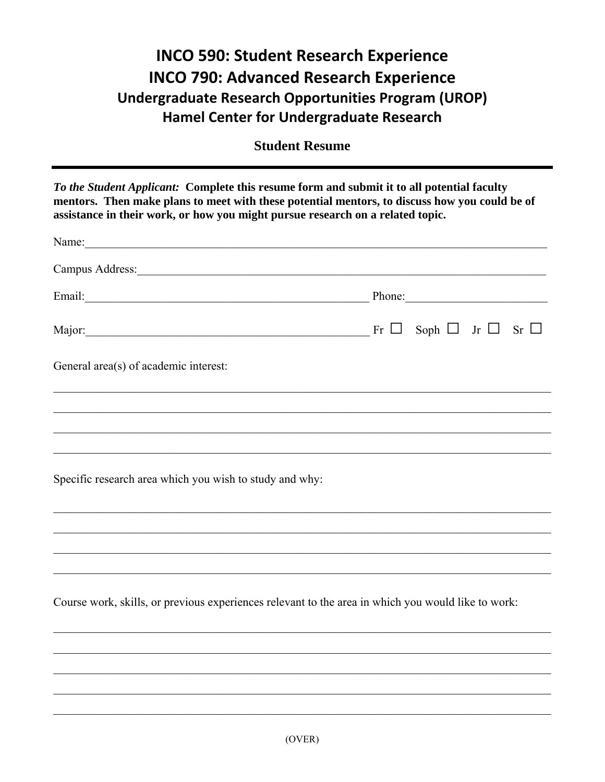## **INCO 590: Student Research Experience INCO 790: Advanced Research Experience** Undergraduate Research Opportunities Program (UROP) **Hamel Center for Undergraduate Research**

**Student Resume** 

To the Student Applicant: Complete this resume form and submit it to all potential faculty mentors. Then make plans to meet with these potential mentors, to discuss how you could be of assistance in their work, or how you might pursue research on a related topic.

| Campus Address: Note and the Campus Address: Note and the Campus Address: Note and the Campus Address: Note and the Campus Address: Note and the Campus Address: Note and the Campus Address: Note and the Campus Address: Not |                                                                                                                                                                                                                                |
|--------------------------------------------------------------------------------------------------------------------------------------------------------------------------------------------------------------------------------|--------------------------------------------------------------------------------------------------------------------------------------------------------------------------------------------------------------------------------|
|                                                                                                                                                                                                                                | Email: Phone: Phone: Phone: Phone: Phone: Phone: Phone: Phone: Phone: Phone: Phone: Phone: Phone: Phone: Phone: Phone: Phone: Phone: Phone: Phone: Phone: Phone: Phone: Phone: Phone: Phone: Phone: Phone: Phone: Phone: Phone |
|                                                                                                                                                                                                                                | Major: $\Box$ Soph $\Box$ Jr $\Box$ Sr $\Box$                                                                                                                                                                                  |
| General area(s) of academic interest:                                                                                                                                                                                          |                                                                                                                                                                                                                                |
|                                                                                                                                                                                                                                |                                                                                                                                                                                                                                |
|                                                                                                                                                                                                                                |                                                                                                                                                                                                                                |
| <u> 1989 - Johann Stoff, amerikansk politiker (d. 1989)</u>                                                                                                                                                                    |                                                                                                                                                                                                                                |
| Specific research area which you wish to study and why:                                                                                                                                                                        |                                                                                                                                                                                                                                |
|                                                                                                                                                                                                                                |                                                                                                                                                                                                                                |
|                                                                                                                                                                                                                                |                                                                                                                                                                                                                                |
|                                                                                                                                                                                                                                |                                                                                                                                                                                                                                |
| Course work, skills, or previous experiences relevant to the area in which you would like to work:                                                                                                                             |                                                                                                                                                                                                                                |
|                                                                                                                                                                                                                                |                                                                                                                                                                                                                                |
|                                                                                                                                                                                                                                |                                                                                                                                                                                                                                |
|                                                                                                                                                                                                                                |                                                                                                                                                                                                                                |
|                                                                                                                                                                                                                                |                                                                                                                                                                                                                                |